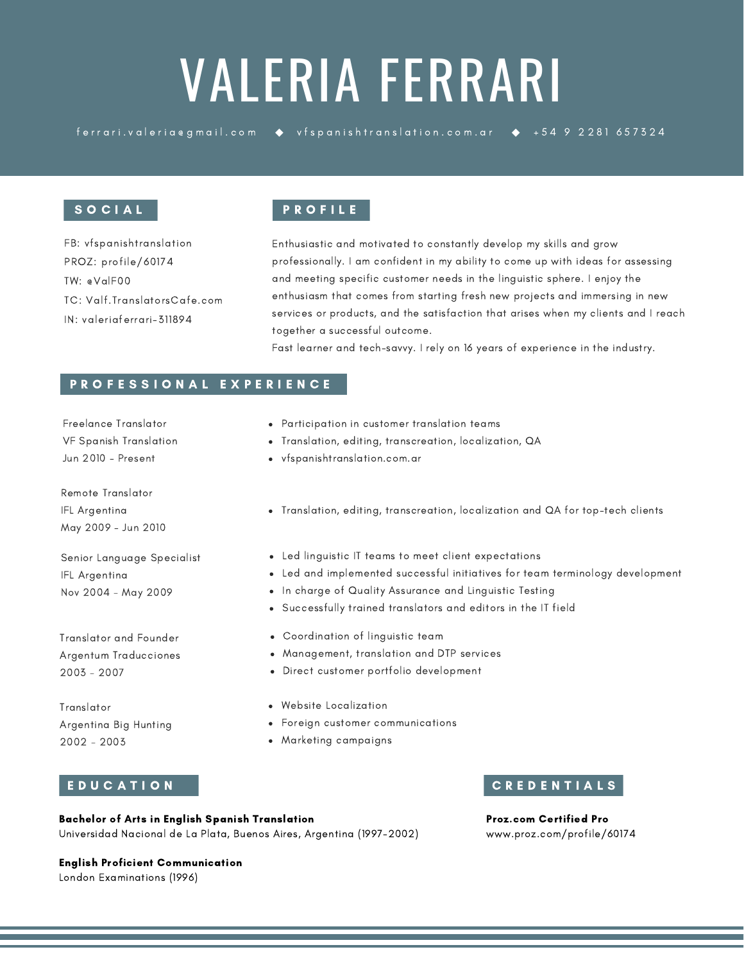# VALERIA FERRARI

ferrari.valeria egmail.com • vfspanishtranslation.com.ar • +54 9 2281 657324

### S O C I A L

FB: vfspanishtranslation PROZ: profile/60174 TW: @ValF00 TC: Valf.TranslatorsCafe.com IN: valeriaferrari-311894

# P R O F I L E

Enthusiastic and motivated to constantly develop my skills and grow professionally. I am confident in my ability to come up with ideas for assessing and meeting specific customer needs in the linguistic sphere. I enjoy the enthusiasm that comes from starting fresh new projects and immersing in new services or products, and the satisfaction that arises when my clients and I reach together a successful outcome.

Fast learner and tech-savvy. I rely on 16 years of experience in the industry.

#### P R O F E S S I O N A L E X P E R I E N C E

Freelance Translator VF Spanish Translation Jun 2010 - Present

Remote Translator IFL Argentina May 2009 - Jun 2010

Senior Language Specialist IFL Argentina Nov 2004 - May 2009

Translator and Founder Argentum Traducciones 2003 - 2007

Translator Argentina Big Hunting 2002 - 2003

### E D U C A T I O N

- Participation in customer translation teams
- Translation, editing, transcreation, localization, QA
- vfspanishtranslation.com.ar
- Translation, editing, transcreation, localization and QA for top-tech clients
- Led linguistic IT teams to meet client expectations
- Led and implemented successful initiatives for team terminology development
- In charge of Quality Assurance and Linguistic Testing
- Successfully trained translators and editors in the IT field
- Coordination of linguistic team
- Management, translation and DTP services
- Direct customer portfolio development
- Website Localization
- Foreign customer communications
- Marketing campaigns

### C R E D E N T I A L S

Bachelor of Arts in English Spanish Translation Universidad Nacional de La Plata, Buenos Aires, Argentina (1997-2002) Proz.com Certified Pro www.proz.com/profile/60174

# English Proficient Communication

London Examinations (1996)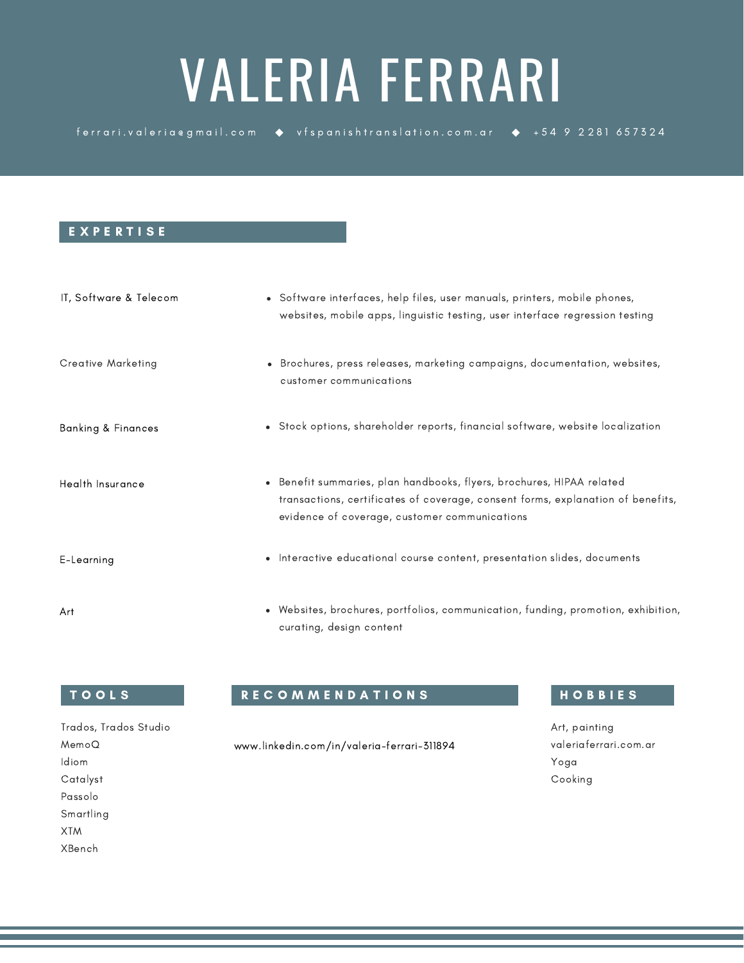# VALERIA FERRARI

ferrari.valeria egmail.com  $\bullet$  vfspanishtranslation.com.ar  $\bullet$  +54 9 2281 657324

#### E X P E R T I S E

| IT, Software & Telecom | • Software interfaces, help files, user manuals, printers, mobile phones,<br>websites, mobile apps, linguistic testing, user interface regression testing                                                            |
|------------------------|----------------------------------------------------------------------------------------------------------------------------------------------------------------------------------------------------------------------|
| Creative Marketing     | • Brochures, press releases, marketing campaigns, documentation, websites,<br>customer communications                                                                                                                |
| Banking & Finances     | • Stock options, shareholder reports, financial software, website localization                                                                                                                                       |
| Health Insurance       | Benefit summaries, plan handbooks, flyers, brochures, HIPAA related<br>$\bullet$<br>transactions, certificates of coverage, consent forms, explanation of benefits,<br>evidence of coverage, customer communications |
| E-Learning             | • Interactive educational course content, presentation slides, documents                                                                                                                                             |
| Art                    | • Websites, brochures, portfolios, communication, funding, promotion, exhibition,<br>curating, design content                                                                                                        |

### T O O L S

# R E C O M M E N D A T I O N S H O B H O B B I E S

www.linkedin.com/in/valeria-ferrari-311894

Art, painting valeriaferrari.com.ar Yoga Cooking

Trados, Trados Studio MemoQ Idiom Catalyst Passolo Smartling XTM XBench